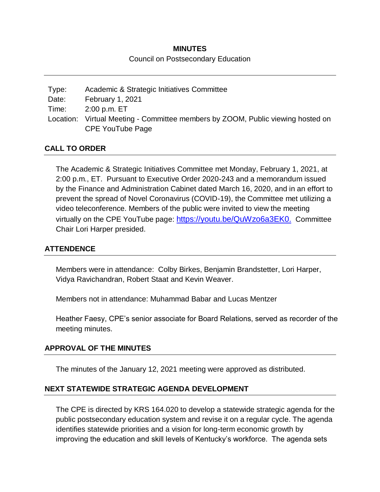# **MINUTES**

#### Council on Postsecondary Education

| Type: | Academic & Strategic Initiatives Committee                                      |
|-------|---------------------------------------------------------------------------------|
| Date: | February 1, 2021                                                                |
| Time: | 2:00 p.m. ET                                                                    |
|       | Location: Virtual Meeting - Committee members by ZOOM, Public viewing hosted on |
|       | CPE YouTube Page                                                                |

### **CALL TO ORDER**

The Academic & Strategic Initiatives Committee met Monday, February 1, 2021, at 2:00 p.m., ET. Pursuant to Executive Order 2020-243 and a memorandum issued by the Finance and Administration Cabinet dated March 16, 2020, and in an effort to prevent the spread of Novel Coronavirus (COVID-19), the Committee met utilizing a video teleconference. Members of the public were invited to view the meeting virtually on the CPE YouTube page: [https://youtu.be/QuWzo6a3EK0.](https://youtu.be/QuWzo6a3EK0) Committee Chair Lori Harper presided.

#### **ATTENDENCE**

Members were in attendance: Colby Birkes, Benjamin Brandstetter, Lori Harper, Vidya Ravichandran, Robert Staat and Kevin Weaver.

Members not in attendance: Muhammad Babar and Lucas Mentzer

Heather Faesy, CPE's senior associate for Board Relations, served as recorder of the meeting minutes.

#### **APPROVAL OF THE MINUTES**

The minutes of the January 12, 2021 meeting were approved as distributed.

#### **NEXT STATEWIDE STRATEGIC AGENDA DEVELOPMENT**

The CPE is directed by KRS 164.020 to develop a statewide strategic agenda for the public postsecondary education system and revise it on a regular cycle. The agenda identifies statewide priorities and a vision for long-term economic growth by improving the education and skill levels of Kentucky's workforce. The agenda sets